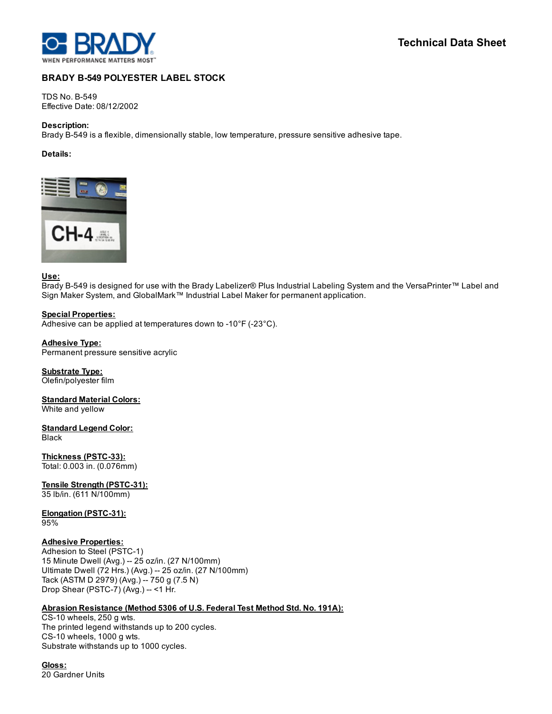

# BRADY B-549 POLYESTER LABEL STOCK

**TDS No. B-549** Effective Date: 08/12/2002

## Description:

Brady B-549 is a flexible, dimensionally stable, low temperature, pressure sensitive adhesive tape.

## Details:



## Use:

Brady B549 is designed for use with the Brady Labelizer® Plus Industrial Labeling System and the VersaPrinter™ Label and Sign Maker System, and GlobalMark™ Industrial Label Maker for permanent application.

#### Special Properties:

Adhesive can be applied at temperatures down to -10 $\degree$ F (-23 $\degree$ C).

#### Adhesive Type:

Permanent pressure sensitive acrylic

## Substrate Type:

Olefin/polyester film

**Standard Material Colors:** White and yellow

#### Standard Legend Color: Black

Thickness (PSTC-33): Total: 0.003 in. (0.076mm)

Tensile Strength (PSTC-31):

35 lb/in. (611 N/100mm)

#### Elongation (PSTC-31): 95%

## Adhesive Properties:

Adhesion to Steel (PSTC-1) 15 Minute Dwell (Avg.) 25 oz/in. (27 N/100mm) Ultimate Dwell (72 Hrs.) (Avg.) 25 oz/in. (27 N/100mm) Tack (ASTM D 2979) (Avg.) 750 g (7.5 N) Drop Shear (PSTC-7) (Avg.) -- <1 Hr.

## Abrasion Resistance (Method 5306 of U.S. Federal Test Method Std. No. 191A):

CS-10 wheels, 250 g wts. The printed legend withstands up to 200 cycles. CS-10 wheels, 1000 g wts. Substrate withstands up to 1000 cycles.

Gloss: 20 Gardner Units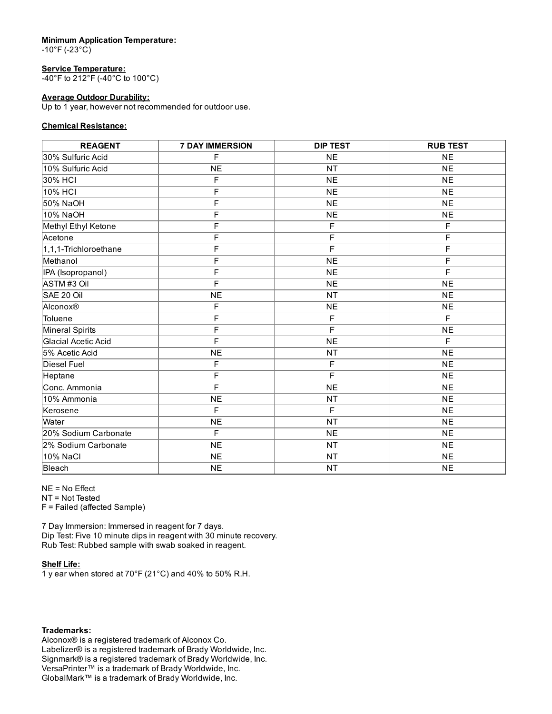## Minimum Application Temperature:

 $-10^{\circ}$ F (-23 $^{\circ}$ C)

## Service Temperature:

40°F to 212°F (40°C to 100°C)

## Average Outdoor Durability:

Up to 1 year, however not recommended for outdoor use.

# Chemical Resistance:

| <b>REAGENT</b>        | <b>7 DAY IMMERSION</b> | <b>DIP TEST</b> | <b>RUB TEST</b> |
|-----------------------|------------------------|-----------------|-----------------|
| 130% Sulfuric Acid    | F                      | <b>NE</b>       | <b>NE</b>       |
| 10% Sulfuric Acid     | <b>NE</b>              | <b>NT</b>       | <b>NE</b>       |
| 30% HCI               | F                      | <b>NE</b>       | <b>NE</b>       |
| 10% HCI               | F                      | <b>NE</b>       | <b>NE</b>       |
| 50% NaOH              | F                      | <b>NE</b>       | <b>NE</b>       |
| 10% NaOH              | F                      | <b>NE</b>       | <b>NE</b>       |
| Methyl Ethyl Ketone   | F                      | F               | F               |
| <b>Acetone</b>        | F                      | F               | F               |
| 1,1,1-Trichloroethane | F                      | $\overline{F}$  | F               |
| Methanol              | F                      | <b>NE</b>       | F               |
| IPA (Isopropanol)     | F                      | <b>NE</b>       | F               |
| ASTM#3 Oil            | $\overline{F}$         | <b>NE</b>       | <b>NE</b>       |
| SAE 20 Oil            | <b>NE</b>              | <b>NT</b>       | <b>NE</b>       |
| Alconox <sup>®</sup>  | F                      | <b>NE</b>       | <b>NE</b>       |
| Toluene               | F                      | F               | F               |
| Mineral Spirits       | F                      | F               | <b>NE</b>       |
| Glacial Acetic Acid   | F                      | <b>NE</b>       | F               |
| 5% Acetic Acid        | <b>NE</b>              | <b>NT</b>       | <b>NE</b>       |
| Diesel Fuel           | F                      | $\mathsf F$     | <b>NE</b>       |
| Heptane               | F                      | $\overline{F}$  | <b>NE</b>       |
| Conc. Ammonia         | F                      | <b>NE</b>       | <b>NE</b>       |
| 10% Ammonia           | <b>NE</b>              | <b>NT</b>       | <b>NE</b>       |
| Kerosene              | F                      | F               | <b>NE</b>       |
| Water                 | <b>NE</b>              | <b>NT</b>       | <b>NE</b>       |
| 20% Sodium Carbonate  | F                      | <b>NE</b>       | <b>NE</b>       |
| 2% Sodium Carbonate   | <b>NE</b>              | <b>NT</b>       | <b>NE</b>       |
| 10% NaCl              | <b>NE</b>              | <b>NT</b>       | <b>NE</b>       |
| Bleach                | <b>NE</b>              | <b>NT</b>       | <b>NE</b>       |

NE = No Effect NT = Not Tested F = Failed (affected Sample)

7 Day Immersion: Immersed in reagent for 7 days. Dip Test: Five 10 minute dips in reagent with 30 minute recovery. Rub Test: Rubbed sample with swab soaked in reagent.

## Shelf Life:

1 y ear when stored at 70°F (21°C) and 40% to 50% R.H.

## Trademarks:

Alconox® is a registered trademark of Alconox Co. Labelizer® is a registered trademark of Brady Worldwide, Inc. Signmark® is a registered trademark of Brady Worldwide, Inc. VersaPrinter™ is a trademark of Brady Worldwide, Inc. GlobalMark™ is a trademark of Brady Worldwide, Inc.